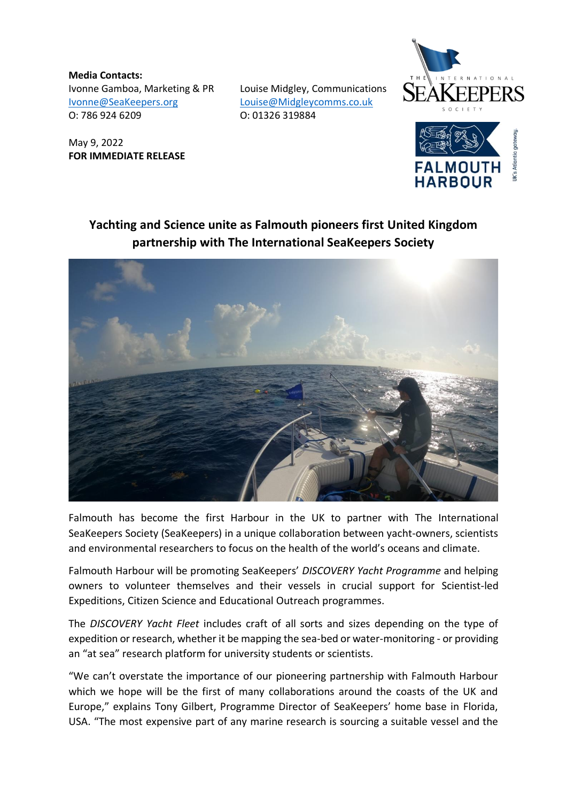**Media Contacts:** Ivonne Gamboa, Marketing & PR Louise Midgley, Communications [Ivonne@SeaKeepers.org](mailto:Ivonne@SeaKeepers.org) [Louise@Midgleycomms.co.uk](mailto:Louise@Midgleycomms.co.uk)  O: 786 924 6209 O: 01326 319884

May 9, 2022 **FOR IMMEDIATE RELEASE**



## **Yachting and Science unite as Falmouth pioneers first United Kingdom partnership with The International SeaKeepers Society**



Falmouth has become the first Harbour in the UK to partner with The International SeaKeepers Society (SeaKeepers) in a unique collaboration between yacht-owners, scientists and environmental researchers to focus on the health of the world's oceans and climate.

Falmouth Harbour will be promoting SeaKeepers' *DISCOVERY Yacht Programme* and helping owners to volunteer themselves and their vessels in crucial support for Scientist-led Expeditions, Citizen Science and Educational Outreach programmes.

The *DISCOVERY Yacht Fleet* includes craft of all sorts and sizes depending on the type of expedition or research, whether it be mapping the sea-bed or water-monitoring - or providing an "at sea" research platform for university students or scientists.

"We can't overstate the importance of our pioneering partnership with Falmouth Harbour which we hope will be the first of many collaborations around the coasts of the UK and Europe," explains Tony Gilbert, Programme Director of SeaKeepers' home base in Florida, USA. "The most expensive part of any marine research is sourcing a suitable vessel and the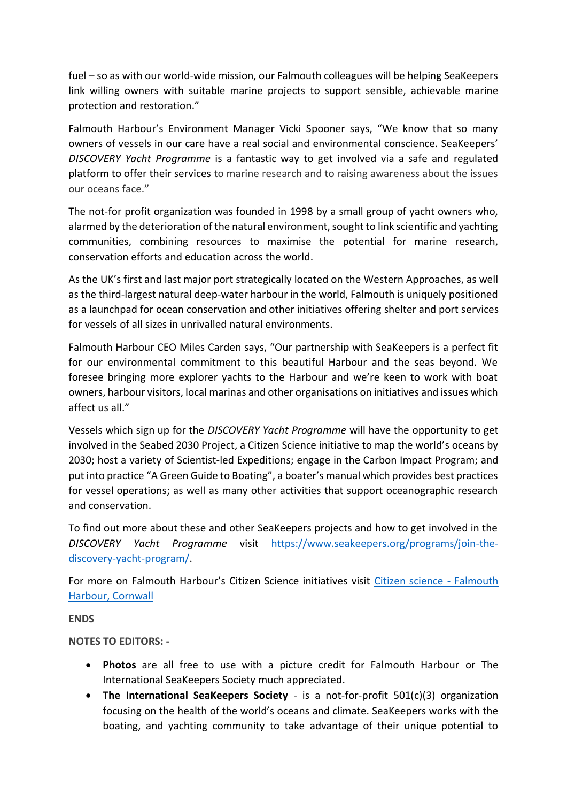fuel – so as with our world-wide mission, our Falmouth colleagues will be helping SeaKeepers link willing owners with suitable marine projects to support sensible, achievable marine protection and restoration."

Falmouth Harbour's Environment Manager Vicki Spooner says, "We know that so many owners of vessels in our care have a real social and environmental conscience. SeaKeepers' *DISCOVERY Yacht Programme* is a fantastic way to get involved via a safe and regulated platform to offer their services to marine research and to raising awareness about the issues our oceans face."

The not-for profit organization was founded in 1998 by a small group of yacht owners who, alarmed by the deterioration of the natural environment, sought to link scientific and yachting communities, combining resources to maximise the potential for marine research, conservation efforts and education across the world.

As the UK's first and last major port strategically located on the Western Approaches, as well as the third-largest natural deep-water harbour in the world, Falmouth is uniquely positioned as a launchpad for ocean conservation and other initiatives offering shelter and port services for vessels of all sizes in unrivalled natural environments.

Falmouth Harbour CEO Miles Carden says, "Our partnership with SeaKeepers is a perfect fit for our environmental commitment to this beautiful Harbour and the seas beyond. We foresee bringing more explorer yachts to the Harbour and we're keen to work with boat owners, harbour visitors, local marinas and other organisations on initiatives and issues which affect us all."

Vessels which sign up for the *DISCOVERY Yacht Programme* will have the opportunity to get involved in the Seabed 2030 Project, a Citizen Science initiative to map the world's oceans by 2030; host a variety of Scientist-led Expeditions; engage in the Carbon Impact Program; and put into practice "A Green Guide to Boating", a boater's manual which provides best practices for vessel operations; as well as many other activities that support oceanographic research and conservation.

To find out more about these and other SeaKeepers projects and how to get involved in the *DISCOVERY Yacht Programme* visit [https://www.seakeepers.org/programs/join-the](https://www.seakeepers.org/programs/join-the-discovery-yacht-program/)[discovery-yacht-program/.](https://www.seakeepers.org/programs/join-the-discovery-yacht-program/)

For more on Falmouth Harbour's Citizen Science initiatives visit [Citizen science -](https://www.falmouthharbour.co.uk/environment/citizen-science/) Falmouth [Harbour, Cornwall](https://www.falmouthharbour.co.uk/environment/citizen-science/)

**ENDS**

**NOTES TO EDITORS: -**

- **Photos** are all free to use with a picture credit for Falmouth Harbour or The International SeaKeepers Society much appreciated.
- **The International SeaKeepers Society** is a not-for-profit 501(c)(3) organization focusing on the health of the world's oceans and climate. SeaKeepers works with the boating, and yachting community to take advantage of their unique potential to